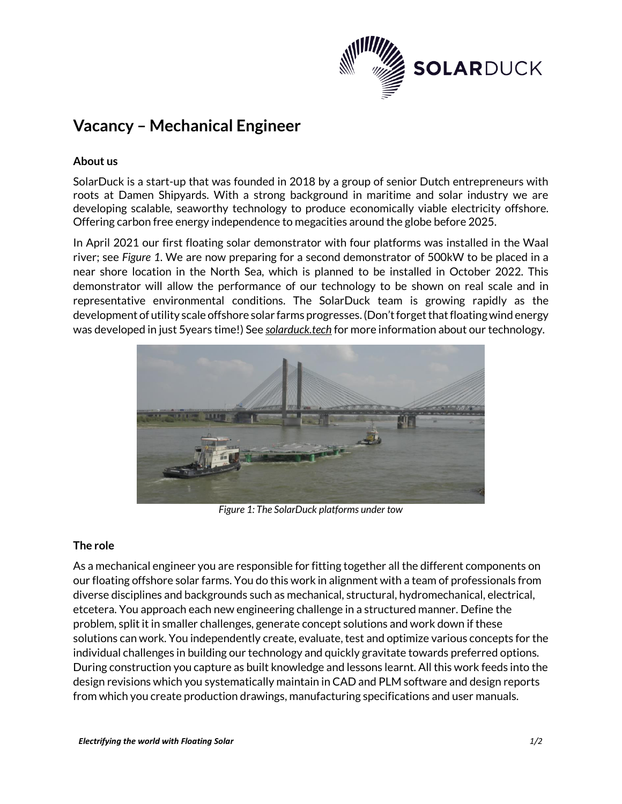

# **Vacancy – Mechanical Engineer**

# **About us**

SolarDuck is a start-up that was founded in 2018 by a group of senior Dutch entrepreneurs with roots at Damen Shipyards. With a strong background in maritime and solar industry we are developing scalable, seaworthy technology to produce economically viable electricity offshore. Offering carbon free energy independence to megacities around the globe before 2025.

In April 2021 our first floating solar demonstrator with four platforms was installed in the Waal river; see *[Figure 1](#page-0-0)*. We are now preparing for a second demonstrator of 500kW to be placed in a near shore location in the North Sea, which is planned to be installed in October 2022. This demonstrator will allow the performance of our technology to be shown on real scale and in representative environmental conditions. The SolarDuck team is growing rapidly as the development of utility scale offshore solar farms progresses. (Don't forget that floating wind energy was developed in just 5years time!) See *solarduck.tech* for more information about our technology.



*Figure 1: The SolarDuck platforms under tow*

## <span id="page-0-0"></span>**The role**

As a mechanical engineer you are responsible for fitting together all the different components on our floating offshore solar farms. You do this work in alignment with a team of professionals from diverse disciplines and backgrounds such as mechanical, structural, hydromechanical, electrical, etcetera. You approach each new engineering challenge in a structured manner. Define the problem, split it in smaller challenges, generate concept solutions and work down if these solutions can work. You independently create, evaluate, test and optimize various concepts for the individual challenges in building our technology and quickly gravitate towards preferred options. During construction you capture as built knowledge and lessons learnt. All this work feeds into the design revisions which you systematically maintain in CAD and PLM software and design reports from which you create production drawings, manufacturing specifications and user manuals.